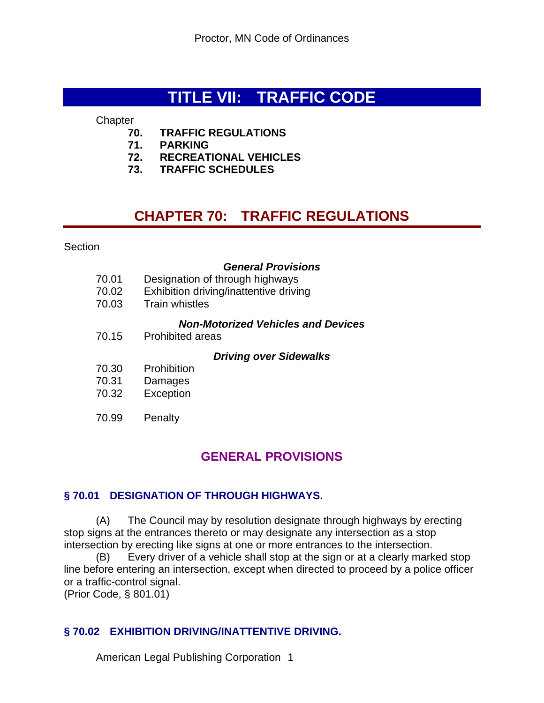# **TITLE VII: TRAFFIC CODE**

**Chapter** 

- **70. TRAFFIC REGULATIONS**
- **71. PARKING**
- **72. RECREATIONAL VEHICLES**
- **73. TRAFFIC SCHEDULES**

# **CHAPTER 70: TRAFFIC REGULATIONS**

**Section** 

#### *General Provisions*

| 70.01<br>70.02<br>70.03 | Designation of through highways<br>Exhibition driving/inattentive driving<br><b>Train whistles</b> |
|-------------------------|----------------------------------------------------------------------------------------------------|
| 70.15                   | <b>Non-Motorized Vehicles and Devices</b><br>Prohibited areas                                      |
|                         | <b>Driving over Sidewalks</b>                                                                      |
| 70.30                   | Prohibition                                                                                        |
| 70.31                   | Damages                                                                                            |
| 70.32                   | Exception                                                                                          |
| 70.99                   | Penalty                                                                                            |

# **GENERAL PROVISIONS**

### **§ 70.01 DESIGNATION OF THROUGH HIGHWAYS.**

(A) The Council may by resolution designate through highways by erecting stop signs at the entrances thereto or may designate any intersection as a stop intersection by erecting like signs at one or more entrances to the intersection.

(B) Every driver of a vehicle shall stop at the sign or at a clearly marked stop line before entering an intersection, except when directed to proceed by a police officer or a traffic-control signal.

(Prior Code, § 801.01)

### **§ 70.02 EXHIBITION DRIVING/INATTENTIVE DRIVING.**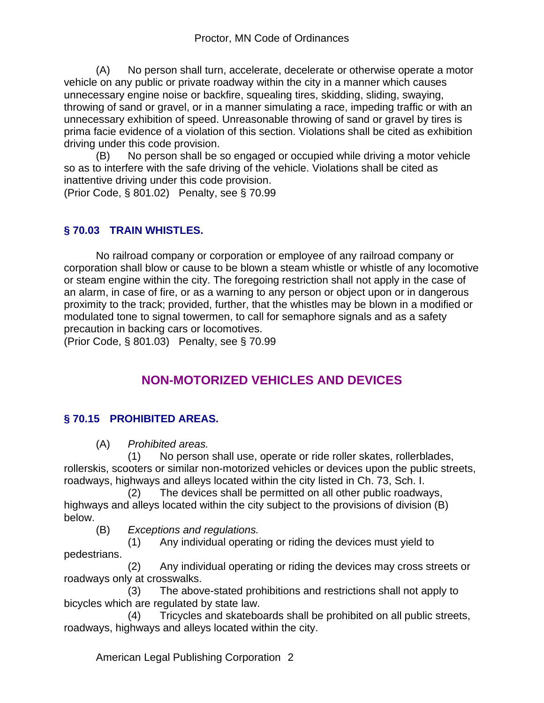(A) No person shall turn, accelerate, decelerate or otherwise operate a motor vehicle on any public or private roadway within the city in a manner which causes unnecessary engine noise or backfire, squealing tires, skidding, sliding, swaying, throwing of sand or gravel, or in a manner simulating a race, impeding traffic or with an unnecessary exhibition of speed. Unreasonable throwing of sand or gravel by tires is prima facie evidence of a violation of this section. Violations shall be cited as exhibition driving under this code provision.

(B) No person shall be so engaged or occupied while driving a motor vehicle so as to interfere with the safe driving of the vehicle. Violations shall be cited as inattentive driving under this code provision. (Prior Code, § 801.02) Penalty, see § 70.99

# **§ 70.03 TRAIN WHISTLES.**

No railroad company or corporation or employee of any railroad company or corporation shall blow or cause to be blown a steam whistle or whistle of any locomotive or steam engine within the city. The foregoing restriction shall not apply in the case of an alarm, in case of fire, or as a warning to any person or object upon or in dangerous proximity to the track; provided, further, that the whistles may be blown in a modified or modulated tone to signal towermen, to call for semaphore signals and as a safety precaution in backing cars or locomotives.

(Prior Code, § 801.03) Penalty, see § 70.99

# **NON-MOTORIZED VEHICLES AND DEVICES**

# **§ 70.15 PROHIBITED AREAS.**

(A) *Prohibited areas.*

 (1) No person shall use, operate or ride roller skates, rollerblades, rollerskis, scooters or similar non-motorized vehicles or devices upon the public streets, roadways, highways and alleys located within the city listed in Ch. 73, Sch. I.

 (2) The devices shall be permitted on all other public roadways, highways and alleys located within the city subject to the provisions of division (B) below.

(B) *Exceptions and regulations.*

 (1) Any individual operating or riding the devices must yield to pedestrians.

 (2) Any individual operating or riding the devices may cross streets or roadways only at crosswalks.

 (3) The above-stated prohibitions and restrictions shall not apply to bicycles which are regulated by state law.

 (4) Tricycles and skateboards shall be prohibited on all public streets, roadways, highways and alleys located within the city.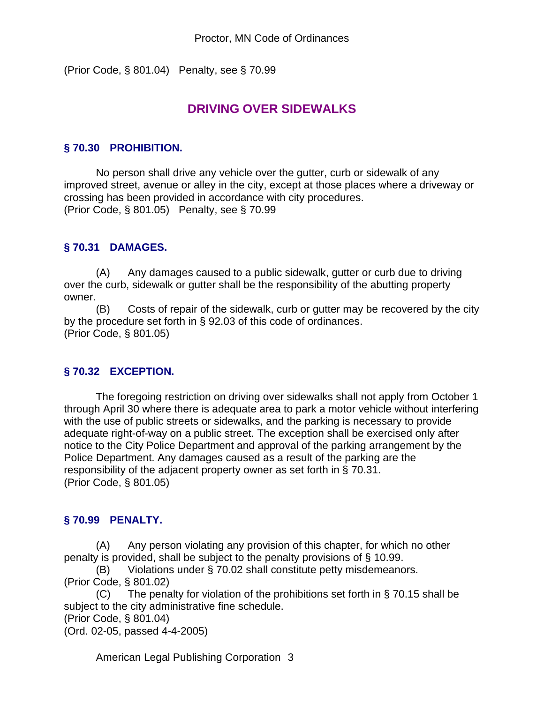(Prior Code, § 801.04) Penalty, see § 70.99

# **DRIVING OVER SIDEWALKS**

### **§ 70.30 PROHIBITION.**

No person shall drive any vehicle over the gutter, curb or sidewalk of any improved street, avenue or alley in the city, except at those places where a driveway or crossing has been provided in accordance with city procedures. (Prior Code, § 801.05) Penalty, see § 70.99

### **§ 70.31 DAMAGES.**

(A) Any damages caused to a public sidewalk, gutter or curb due to driving over the curb, sidewalk or gutter shall be the responsibility of the abutting property owner.

(B) Costs of repair of the sidewalk, curb or gutter may be recovered by the city by the procedure set forth in § 92.03 of this code of ordinances. (Prior Code, § 801.05)

### **§ 70.32 EXCEPTION.**

The foregoing restriction on driving over sidewalks shall not apply from October 1 through April 30 where there is adequate area to park a motor vehicle without interfering with the use of public streets or sidewalks, and the parking is necessary to provide adequate right-of-way on a public street. The exception shall be exercised only after notice to the City Police Department and approval of the parking arrangement by the Police Department. Any damages caused as a result of the parking are the responsibility of the adjacent property owner as set forth in § 70.31. (Prior Code, § 801.05)

### **§ 70.99 PENALTY.**

(A) Any person violating any provision of this chapter, for which no other penalty is provided, shall be subject to the penalty provisions of § 10.99.

(B) Violations under § 70.02 shall constitute petty misdemeanors. (Prior Code, § 801.02)

(C) The penalty for violation of the prohibitions set forth in  $\S$  70.15 shall be subject to the city administrative fine schedule.

(Prior Code, § 801.04)

(Ord. 02-05, passed 4-4-2005)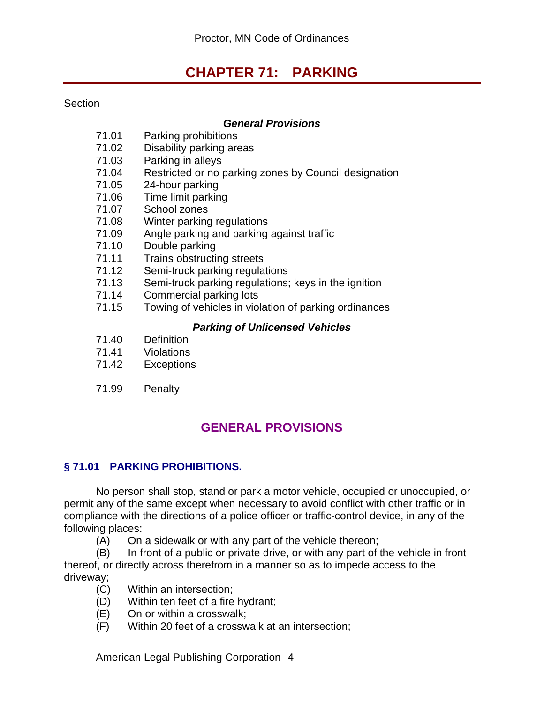# **CHAPTER 71: PARKING**

#### Section

#### *General Provisions*

- 71.01 Parking prohibitions
- 71.02 Disability parking areas
- 71.03 Parking in alleys<br>71.04 Restricted or no r
- Restricted or no parking zones by Council designation
- 71.05 24-hour parking
- 71.06 Time limit parking
- 71.07 School zones
- 71.08 Winter parking regulations
- 71.09 Angle parking and parking against traffic
- 71.10 Double parking
- 71.11 Trains obstructing streets
- 71.12 Semi-truck parking regulations
- 71.13 Semi-truck parking regulations; keys in the ignition<br>71.14 Commercial parking lots
- Commercial parking lots
- 71.15 Towing of vehicles in violation of parking ordinances

#### *Parking of Unlicensed Vehicles*

- 71.40 Definition
- 71.41 Violations
- 71.42 Exceptions
- 71.99 Penalty

# **GENERAL PROVISIONS**

### **§ 71.01 PARKING PROHIBITIONS.**

No person shall stop, stand or park a motor vehicle, occupied or unoccupied, or permit any of the same except when necessary to avoid conflict with other traffic or in compliance with the directions of a police officer or traffic-control device, in any of the following places:

(A) On a sidewalk or with any part of the vehicle thereon;

(B) In front of a public or private drive, or with any part of the vehicle in front thereof, or directly across therefrom in a manner so as to impede access to the driveway;

- (C) Within an intersection;
- (D) Within ten feet of a fire hydrant;
- (E) On or within a crosswalk;
- (F) Within 20 feet of a crosswalk at an intersection;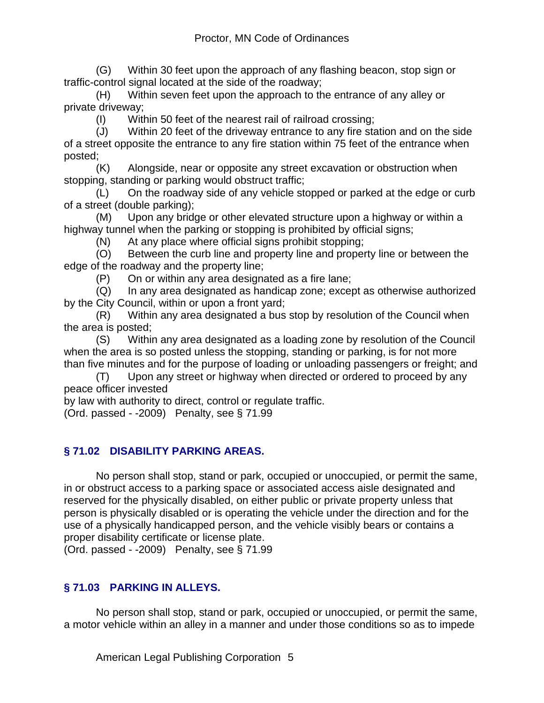(G) Within 30 feet upon the approach of any flashing beacon, stop sign or traffic-control signal located at the side of the roadway;

(H) Within seven feet upon the approach to the entrance of any alley or private driveway;

(I) Within 50 feet of the nearest rail of railroad crossing;

(J) Within 20 feet of the driveway entrance to any fire station and on the side of a street opposite the entrance to any fire station within 75 feet of the entrance when posted;

(K) Alongside, near or opposite any street excavation or obstruction when stopping, standing or parking would obstruct traffic;

(L) On the roadway side of any vehicle stopped or parked at the edge or curb of a street (double parking);

(M) Upon any bridge or other elevated structure upon a highway or within a highway tunnel when the parking or stopping is prohibited by official signs;

(N) At any place where official signs prohibit stopping;

(O) Between the curb line and property line and property line or between the edge of the roadway and the property line;

(P) On or within any area designated as a fire lane;

(Q) In any area designated as handicap zone; except as otherwise authorized by the City Council, within or upon a front yard;

(R) Within any area designated a bus stop by resolution of the Council when the area is posted;

(S) Within any area designated as a loading zone by resolution of the Council when the area is so posted unless the stopping, standing or parking, is for not more than five minutes and for the purpose of loading or unloading passengers or freight; and

(T) Upon any street or highway when directed or ordered to proceed by any peace officer invested

by law with authority to direct, control or regulate traffic.

(Ord. passed - -2009) Penalty, see § 71.99

### **§ 71.02 DISABILITY PARKING AREAS.**

No person shall stop, stand or park, occupied or unoccupied, or permit the same, in or obstruct access to a parking space or associated access aisle designated and reserved for the physically disabled, on either public or private property unless that person is physically disabled or is operating the vehicle under the direction and for the use of a physically handicapped person, and the vehicle visibly bears or contains a proper disability certificate or license plate.

(Ord. passed - -2009) Penalty, see § 71.99

# **§ 71.03 PARKING IN ALLEYS.**

No person shall stop, stand or park, occupied or unoccupied, or permit the same, a motor vehicle within an alley in a manner and under those conditions so as to impede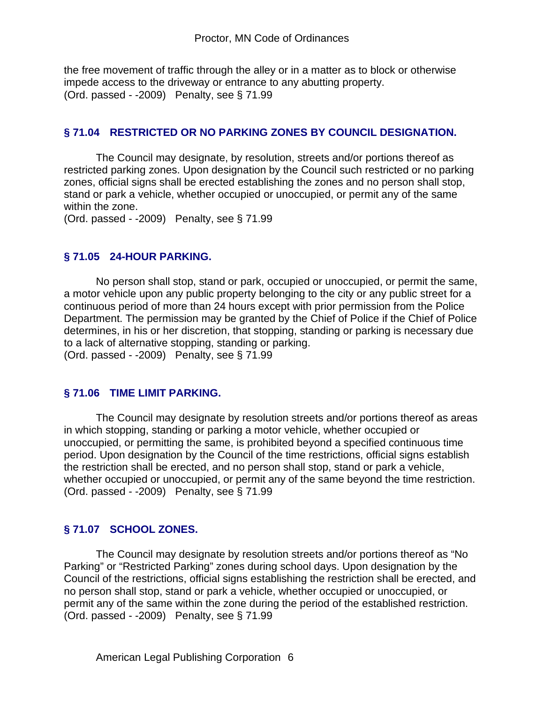the free movement of traffic through the alley or in a matter as to block or otherwise impede access to the driveway or entrance to any abutting property. (Ord. passed - -2009) Penalty, see § 71.99

#### **§ 71.04 RESTRICTED OR NO PARKING ZONES BY COUNCIL DESIGNATION.**

The Council may designate, by resolution, streets and/or portions thereof as restricted parking zones. Upon designation by the Council such restricted or no parking zones, official signs shall be erected establishing the zones and no person shall stop, stand or park a vehicle, whether occupied or unoccupied, or permit any of the same within the zone.

(Ord. passed - -2009) Penalty, see § 71.99

#### **§ 71.05 24-HOUR PARKING.**

No person shall stop, stand or park, occupied or unoccupied, or permit the same, a motor vehicle upon any public property belonging to the city or any public street for a continuous period of more than 24 hours except with prior permission from the Police Department. The permission may be granted by the Chief of Police if the Chief of Police determines, in his or her discretion, that stopping, standing or parking is necessary due to a lack of alternative stopping, standing or parking. (Ord. passed - -2009) Penalty, see § 71.99

#### **§ 71.06 TIME LIMIT PARKING.**

The Council may designate by resolution streets and/or portions thereof as areas in which stopping, standing or parking a motor vehicle, whether occupied or unoccupied, or permitting the same, is prohibited beyond a specified continuous time period. Upon designation by the Council of the time restrictions, official signs establish the restriction shall be erected, and no person shall stop, stand or park a vehicle, whether occupied or unoccupied, or permit any of the same beyond the time restriction. (Ord. passed - -2009) Penalty, see § 71.99

### **§ 71.07 SCHOOL ZONES.**

The Council may designate by resolution streets and/or portions thereof as "No Parking" or "Restricted Parking" zones during school days. Upon designation by the Council of the restrictions, official signs establishing the restriction shall be erected, and no person shall stop, stand or park a vehicle, whether occupied or unoccupied, or permit any of the same within the zone during the period of the established restriction. (Ord. passed - -2009) Penalty, see § 71.99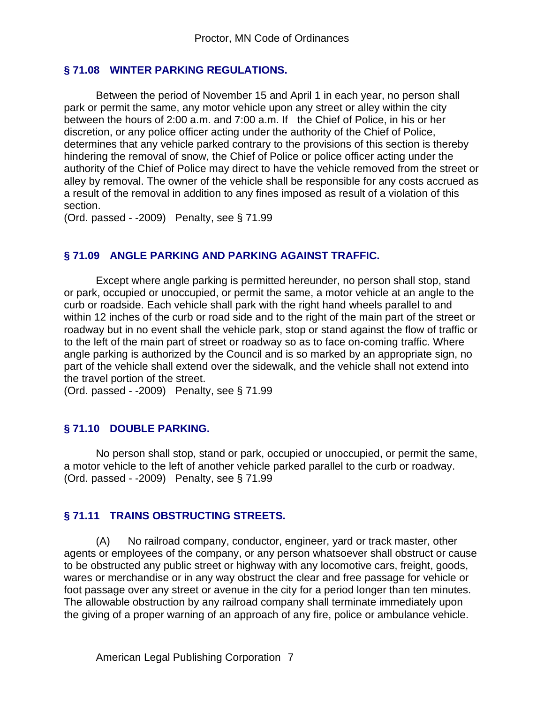### **§ 71.08 WINTER PARKING REGULATIONS.**

Between the period of November 15 and April 1 in each year, no person shall park or permit the same, any motor vehicle upon any street or alley within the city between the hours of 2:00 a.m. and 7:00 a.m. If the Chief of Police, in his or her discretion, or any police officer acting under the authority of the Chief of Police, determines that any vehicle parked contrary to the provisions of this section is thereby hindering the removal of snow, the Chief of Police or police officer acting under the authority of the Chief of Police may direct to have the vehicle removed from the street or alley by removal. The owner of the vehicle shall be responsible for any costs accrued as a result of the removal in addition to any fines imposed as result of a violation of this section.

(Ord. passed - -2009) Penalty, see § 71.99

#### **§ 71.09 ANGLE PARKING AND PARKING AGAINST TRAFFIC.**

Except where angle parking is permitted hereunder, no person shall stop, stand or park, occupied or unoccupied, or permit the same, a motor vehicle at an angle to the curb or roadside. Each vehicle shall park with the right hand wheels parallel to and within 12 inches of the curb or road side and to the right of the main part of the street or roadway but in no event shall the vehicle park, stop or stand against the flow of traffic or to the left of the main part of street or roadway so as to face on-coming traffic. Where angle parking is authorized by the Council and is so marked by an appropriate sign, no part of the vehicle shall extend over the sidewalk, and the vehicle shall not extend into the travel portion of the street.

(Ord. passed - -2009) Penalty, see § 71.99

#### **§ 71.10 DOUBLE PARKING.**

No person shall stop, stand or park, occupied or unoccupied, or permit the same, a motor vehicle to the left of another vehicle parked parallel to the curb or roadway. (Ord. passed - -2009) Penalty, see § 71.99

### **§ 71.11 TRAINS OBSTRUCTING STREETS.**

(A) No railroad company, conductor, engineer, yard or track master, other agents or employees of the company, or any person whatsoever shall obstruct or cause to be obstructed any public street or highway with any locomotive cars, freight, goods, wares or merchandise or in any way obstruct the clear and free passage for vehicle or foot passage over any street or avenue in the city for a period longer than ten minutes. The allowable obstruction by any railroad company shall terminate immediately upon the giving of a proper warning of an approach of any fire, police or ambulance vehicle.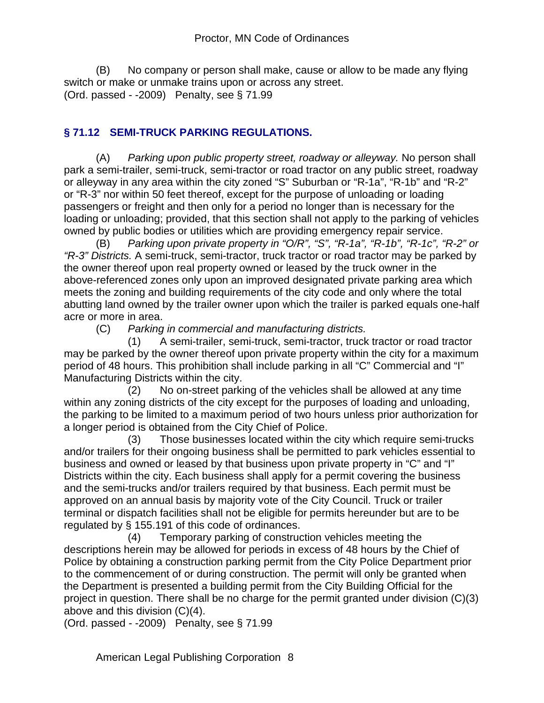(B) No company or person shall make, cause or allow to be made any flying switch or make or unmake trains upon or across any street. (Ord. passed - -2009) Penalty, see § 71.99

# **§ 71.12 SEMI-TRUCK PARKING REGULATIONS.**

(A) *Parking upon public property street, roadway or alleyway.* No person shall park a semi-trailer, semi-truck, semi-tractor or road tractor on any public street, roadway or alleyway in any area within the city zoned "S" Suburban or "R-1a", "R-1b" and "R-2" or "R-3" nor within 50 feet thereof, except for the purpose of unloading or loading passengers or freight and then only for a period no longer than is necessary for the loading or unloading; provided, that this section shall not apply to the parking of vehicles owned by public bodies or utilities which are providing emergency repair service.

(B) *Parking upon private property in "O/R", "S", "R-1a", "R-1b", "R-1c", "R-2" or "R-3" Districts.* A semi-truck, semi-tractor, truck tractor or road tractor may be parked by the owner thereof upon real property owned or leased by the truck owner in the above-referenced zones only upon an improved designated private parking area which meets the zoning and building requirements of the city code and only where the total abutting land owned by the trailer owner upon which the trailer is parked equals one-half acre or more in area.

(C) *Parking in commercial and manufacturing districts.*

 (1) A semi-trailer, semi-truck, semi-tractor, truck tractor or road tractor may be parked by the owner thereof upon private property within the city for a maximum period of 48 hours. This prohibition shall include parking in all "C" Commercial and "I" Manufacturing Districts within the city.

 (2) No on-street parking of the vehicles shall be allowed at any time within any zoning districts of the city except for the purposes of loading and unloading, the parking to be limited to a maximum period of two hours unless prior authorization for a longer period is obtained from the City Chief of Police.

 (3) Those businesses located within the city which require semi-trucks and/or trailers for their ongoing business shall be permitted to park vehicles essential to business and owned or leased by that business upon private property in "C" and "I" Districts within the city. Each business shall apply for a permit covering the business and the semi-trucks and/or trailers required by that business. Each permit must be approved on an annual basis by majority vote of the City Council. Truck or trailer terminal or dispatch facilities shall not be eligible for permits hereunder but are to be regulated by § 155.191 of this code of ordinances.

 (4) Temporary parking of construction vehicles meeting the descriptions herein may be allowed for periods in excess of 48 hours by the Chief of Police by obtaining a construction parking permit from the City Police Department prior to the commencement of or during construction. The permit will only be granted when the Department is presented a building permit from the City Building Official for the project in question. There shall be no charge for the permit granted under division (C)(3) above and this division (C)(4).

(Ord. passed - -2009) Penalty, see § 71.99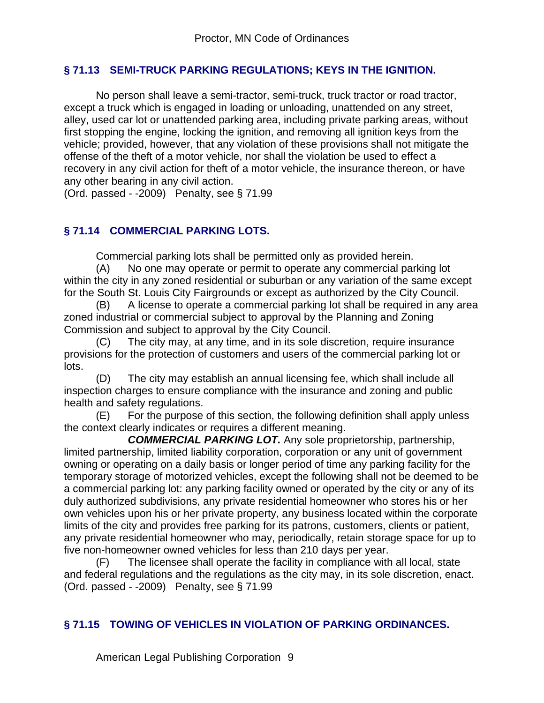## **§ 71.13 SEMI-TRUCK PARKING REGULATIONS; KEYS IN THE IGNITION.**

No person shall leave a semi-tractor, semi-truck, truck tractor or road tractor, except a truck which is engaged in loading or unloading, unattended on any street, alley, used car lot or unattended parking area, including private parking areas, without first stopping the engine, locking the ignition, and removing all ignition keys from the vehicle; provided, however, that any violation of these provisions shall not mitigate the offense of the theft of a motor vehicle, nor shall the violation be used to effect a recovery in any civil action for theft of a motor vehicle, the insurance thereon, or have any other bearing in any civil action.

(Ord. passed - -2009) Penalty, see § 71.99

# **§ 71.14 COMMERCIAL PARKING LOTS.**

Commercial parking lots shall be permitted only as provided herein.

(A) No one may operate or permit to operate any commercial parking lot within the city in any zoned residential or suburban or any variation of the same except for the South St. Louis City Fairgrounds or except as authorized by the City Council.

(B) A license to operate a commercial parking lot shall be required in any area zoned industrial or commercial subject to approval by the Planning and Zoning Commission and subject to approval by the City Council.

(C) The city may, at any time, and in its sole discretion, require insurance provisions for the protection of customers and users of the commercial parking lot or lots.

(D) The city may establish an annual licensing fee, which shall include all inspection charges to ensure compliance with the insurance and zoning and public health and safety regulations.

(E) For the purpose of this section, the following definition shall apply unless the context clearly indicates or requires a different meaning.

 *COMMERCIAL PARKING LOT.* Any sole proprietorship, partnership, limited partnership, limited liability corporation, corporation or any unit of government owning or operating on a daily basis or longer period of time any parking facility for the temporary storage of motorized vehicles, except the following shall not be deemed to be a commercial parking lot: any parking facility owned or operated by the city or any of its duly authorized subdivisions, any private residential homeowner who stores his or her own vehicles upon his or her private property, any business located within the corporate limits of the city and provides free parking for its patrons, customers, clients or patient, any private residential homeowner who may, periodically, retain storage space for up to five non-homeowner owned vehicles for less than 210 days per year.

(F) The licensee shall operate the facility in compliance with all local, state and federal regulations and the regulations as the city may, in its sole discretion, enact. (Ord. passed - -2009) Penalty, see § 71.99

# **§ 71.15 TOWING OF VEHICLES IN VIOLATION OF PARKING ORDINANCES.**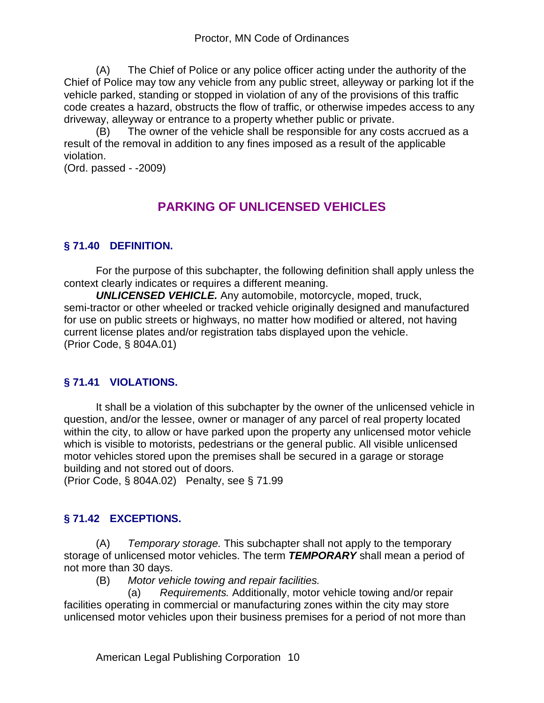(A) The Chief of Police or any police officer acting under the authority of the Chief of Police may tow any vehicle from any public street, alleyway or parking lot if the vehicle parked, standing or stopped in violation of any of the provisions of this traffic code creates a hazard, obstructs the flow of traffic, or otherwise impedes access to any driveway, alleyway or entrance to a property whether public or private.

(B) The owner of the vehicle shall be responsible for any costs accrued as a result of the removal in addition to any fines imposed as a result of the applicable violation.

(Ord. passed - -2009)

# **PARKING OF UNLICENSED VEHICLES**

# **§ 71.40 DEFINITION.**

For the purpose of this subchapter, the following definition shall apply unless the context clearly indicates or requires a different meaning.

*UNLICENSED VEHICLE.* Any automobile, motorcycle, moped, truck, semi-tractor or other wheeled or tracked vehicle originally designed and manufactured for use on public streets or highways, no matter how modified or altered, not having current license plates and/or registration tabs displayed upon the vehicle. (Prior Code, § 804A.01)

# **§ 71.41 VIOLATIONS.**

It shall be a violation of this subchapter by the owner of the unlicensed vehicle in question, and/or the lessee, owner or manager of any parcel of real property located within the city, to allow or have parked upon the property any unlicensed motor vehicle which is visible to motorists, pedestrians or the general public. All visible unlicensed motor vehicles stored upon the premises shall be secured in a garage or storage building and not stored out of doors.

(Prior Code, § 804A.02) Penalty, see § 71.99

# **§ 71.42 EXCEPTIONS.**

(A) *Temporary storage.* This subchapter shall not apply to the temporary storage of unlicensed motor vehicles. The term *TEMPORARY* shall mean a period of not more than 30 days.

(B) *Motor vehicle towing and repair facilities.*

 (a) *Requirements.* Additionally, motor vehicle towing and/or repair facilities operating in commercial or manufacturing zones within the city may store unlicensed motor vehicles upon their business premises for a period of not more than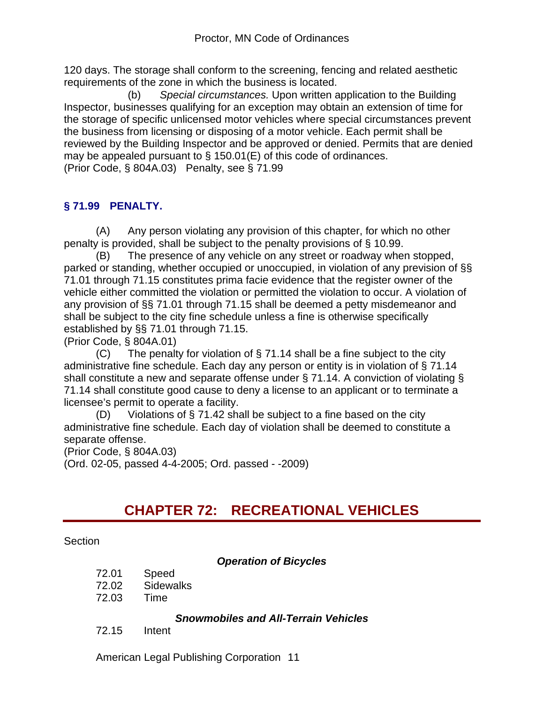120 days. The storage shall conform to the screening, fencing and related aesthetic requirements of the zone in which the business is located.

 (b) *Special circumstances.* Upon written application to the Building Inspector, businesses qualifying for an exception may obtain an extension of time for the storage of specific unlicensed motor vehicles where special circumstances prevent the business from licensing or disposing of a motor vehicle. Each permit shall be reviewed by the Building Inspector and be approved or denied. Permits that are denied may be appealed pursuant to § 150.01(E) of this code of ordinances. (Prior Code, § 804A.03) Penalty, see § 71.99

# **§ 71.99 PENALTY.**

(A) Any person violating any provision of this chapter, for which no other penalty is provided, shall be subject to the penalty provisions of § 10.99.

(B) The presence of any vehicle on any street or roadway when stopped, parked or standing, whether occupied or unoccupied, in violation of any prevision of §§ 71.01 through 71.15 constitutes prima facie evidence that the register owner of the vehicle either committed the violation or permitted the violation to occur. A violation of any provision of §§ 71.01 through 71.15 shall be deemed a petty misdemeanor and shall be subject to the city fine schedule unless a fine is otherwise specifically established by §§ 71.01 through 71.15.

(Prior Code, § 804A.01)

 $(C)$  The penalty for violation of § 71.14 shall be a fine subject to the city administrative fine schedule. Each day any person or entity is in violation of § 71.14 shall constitute a new and separate offense under § 71.14. A conviction of violating § 71.14 shall constitute good cause to deny a license to an applicant or to terminate a licensee's permit to operate a facility.

(D) Violations of  $\S$  71.42 shall be subject to a fine based on the city administrative fine schedule. Each day of violation shall be deemed to constitute a separate offense.

(Prior Code, § 804A.03) (Ord. 02-05, passed 4-4-2005; Ord. passed - -2009)

# **CHAPTER 72: RECREATIONAL VEHICLES**

#### Section

### *Operation of Bicycles*

- 72.01 Speed
- 72.02 Sidewalks
- 72.03 Time

#### *Snowmobiles and All-Terrain Vehicles*

72.15 Intent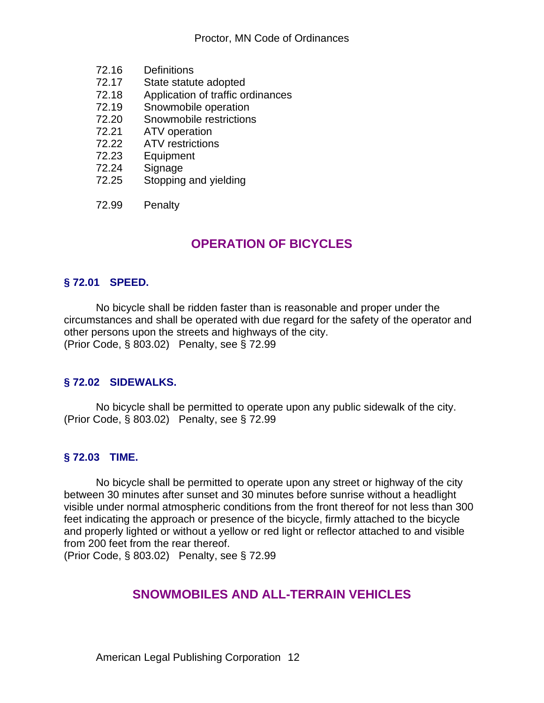- 72.16 Definitions
- 72.17 State statute adopted
- 72.18 Application of traffic ordinances
- 72.19 Snowmobile operation
- 72.20 Snowmobile restrictions<br>72.21 ATV operation
- 72.21 ATV operation<br>72.22 ATV restriction
- ATV restrictions
- 72.23 Equipment
- 72.24 Signage<br>72.25 Stopping
- Stopping and yielding
- 72.99 Penalty

# **OPERATION OF BICYCLES**

## **§ 72.01 SPEED.**

No bicycle shall be ridden faster than is reasonable and proper under the circumstances and shall be operated with due regard for the safety of the operator and other persons upon the streets and highways of the city. (Prior Code, § 803.02) Penalty, see § 72.99

### **§ 72.02 SIDEWALKS.**

No bicycle shall be permitted to operate upon any public sidewalk of the city. (Prior Code, § 803.02) Penalty, see § 72.99

### **§ 72.03 TIME.**

No bicycle shall be permitted to operate upon any street or highway of the city between 30 minutes after sunset and 30 minutes before sunrise without a headlight visible under normal atmospheric conditions from the front thereof for not less than 300 feet indicating the approach or presence of the bicycle, firmly attached to the bicycle and properly lighted or without a yellow or red light or reflector attached to and visible from 200 feet from the rear thereof.

(Prior Code, § 803.02) Penalty, see § 72.99

# **SNOWMOBILES AND ALL-TERRAIN VEHICLES**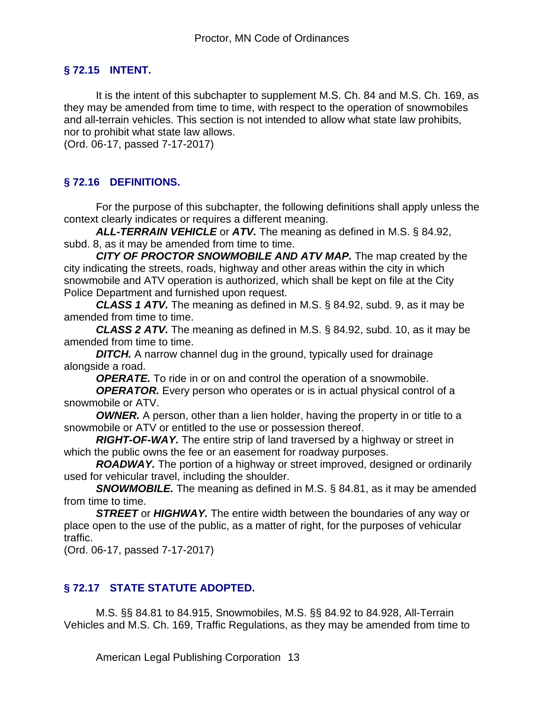## **§ 72.15 INTENT.**

It is the intent of this subchapter to supplement M.S. Ch. 84 and M.S. Ch. 169, as they may be amended from time to time, with respect to the operation of snowmobiles and all-terrain vehicles. This section is not intended to allow what state law prohibits, nor to prohibit what state law allows.

(Ord. 06-17, passed 7-17-2017)

# **§ 72.16 DEFINITIONS.**

For the purpose of this subchapter, the following definitions shall apply unless the context clearly indicates or requires a different meaning.

*ALL-TERRAIN VEHICLE* or *ATV.* The meaning as defined in M.S. § 84.92, subd. 8, as it may be amended from time to time.

*CITY OF PROCTOR SNOWMOBILE AND ATV MAP.* The map created by the city indicating the streets, roads, highway and other areas within the city in which snowmobile and ATV operation is authorized, which shall be kept on file at the City Police Department and furnished upon request.

*CLASS 1 ATV.* The meaning as defined in M.S. § 84.92, subd. 9, as it may be amended from time to time.

*CLASS 2 ATV.* The meaning as defined in M.S. § 84.92, subd. 10, as it may be amended from time to time.

**DITCH.** A narrow channel dug in the ground, typically used for drainage alongside a road.

**OPERATE.** To ride in or on and control the operation of a snowmobile.

**OPERATOR.** Every person who operates or is in actual physical control of a snowmobile or ATV.

*OWNER.* A person, other than a lien holder, having the property in or title to a snowmobile or ATV or entitled to the use or possession thereof.

*RIGHT-OF-WAY.* The entire strip of land traversed by a highway or street in which the public owns the fee or an easement for roadway purposes.

*ROADWAY.* The portion of a highway or street improved, designed or ordinarily used for vehicular travel, including the shoulder.

*SNOWMOBILE.* The meaning as defined in M.S. § 84.81, as it may be amended from time to time.

*STREET* or *HIGHWAY.* The entire width between the boundaries of any way or place open to the use of the public, as a matter of right, for the purposes of vehicular traffic.

(Ord. 06-17, passed 7-17-2017)

# **§ 72.17 STATE STATUTE ADOPTED.**

M.S. §§ 84.81 to 84.915, Snowmobiles, M.S. §§ 84.92 to 84.928, All-Terrain Vehicles and M.S. Ch. 169, Traffic Regulations, as they may be amended from time to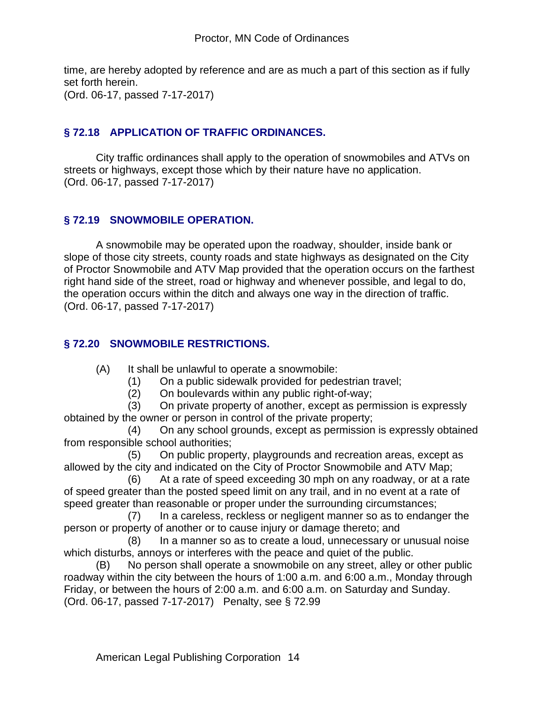time, are hereby adopted by reference and are as much a part of this section as if fully set forth herein. (Ord. 06-17, passed 7-17-2017)

## **§ 72.18 APPLICATION OF TRAFFIC ORDINANCES.**

City traffic ordinances shall apply to the operation of snowmobiles and ATVs on streets or highways, except those which by their nature have no application. (Ord. 06-17, passed 7-17-2017)

## **§ 72.19 SNOWMOBILE OPERATION.**

A snowmobile may be operated upon the roadway, shoulder, inside bank or slope of those city streets, county roads and state highways as designated on the City of Proctor Snowmobile and ATV Map provided that the operation occurs on the farthest right hand side of the street, road or highway and whenever possible, and legal to do, the operation occurs within the ditch and always one way in the direction of traffic. (Ord. 06-17, passed 7-17-2017)

## **§ 72.20 SNOWMOBILE RESTRICTIONS.**

(A) It shall be unlawful to operate a snowmobile:

- (1) On a public sidewalk provided for pedestrian travel;
- (2) On boulevards within any public right-of-way;

 (3) On private property of another, except as permission is expressly obtained by the owner or person in control of the private property;

 (4) On any school grounds, except as permission is expressly obtained from responsible school authorities;

 (5) On public property, playgrounds and recreation areas, except as allowed by the city and indicated on the City of Proctor Snowmobile and ATV Map;

 (6) At a rate of speed exceeding 30 mph on any roadway, or at a rate of speed greater than the posted speed limit on any trail, and in no event at a rate of speed greater than reasonable or proper under the surrounding circumstances;

 (7) In a careless, reckless or negligent manner so as to endanger the person or property of another or to cause injury or damage thereto; and

 (8) In a manner so as to create a loud, unnecessary or unusual noise which disturbs, annoys or interferes with the peace and quiet of the public.

(B) No person shall operate a snowmobile on any street, alley or other public roadway within the city between the hours of 1:00 a.m. and 6:00 a.m., Monday through Friday, or between the hours of 2:00 a.m. and 6:00 a.m. on Saturday and Sunday. (Ord. 06-17, passed 7-17-2017) Penalty, see § 72.99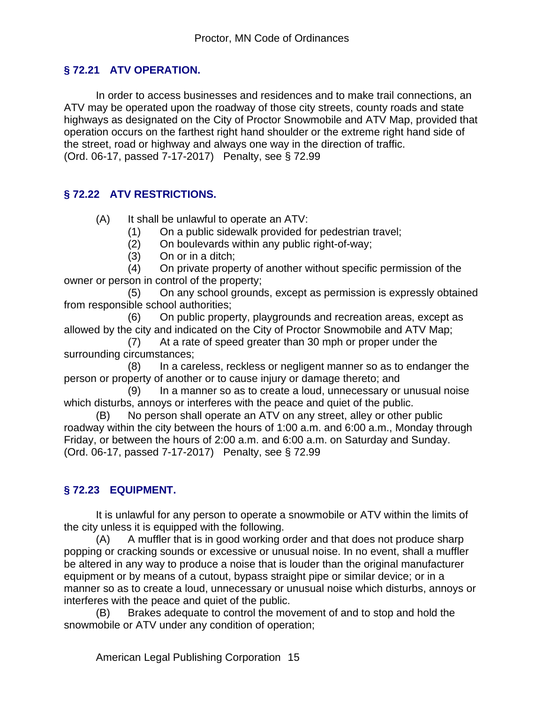# **§ 72.21 ATV OPERATION.**

In order to access businesses and residences and to make trail connections, an ATV may be operated upon the roadway of those city streets, county roads and state highways as designated on the City of Proctor Snowmobile and ATV Map, provided that operation occurs on the farthest right hand shoulder or the extreme right hand side of the street, road or highway and always one way in the direction of traffic. (Ord. 06-17, passed 7-17-2017) Penalty, see § 72.99

## **§ 72.22 ATV RESTRICTIONS.**

- (A) It shall be unlawful to operate an ATV:
	- (1) On a public sidewalk provided for pedestrian travel;
	- (2) On boulevards within any public right-of-way;
	- (3) On or in a ditch;

 (4) On private property of another without specific permission of the owner or person in control of the property;

 (5) On any school grounds, except as permission is expressly obtained from responsible school authorities;

 (6) On public property, playgrounds and recreation areas, except as allowed by the city and indicated on the City of Proctor Snowmobile and ATV Map;

 (7) At a rate of speed greater than 30 mph or proper under the surrounding circumstances;

 (8) In a careless, reckless or negligent manner so as to endanger the person or property of another or to cause injury or damage thereto; and

 (9) In a manner so as to create a loud, unnecessary or unusual noise which disturbs, annoys or interferes with the peace and quiet of the public.

(B) No person shall operate an ATV on any street, alley or other public roadway within the city between the hours of 1:00 a.m. and 6:00 a.m., Monday through Friday, or between the hours of 2:00 a.m. and 6:00 a.m. on Saturday and Sunday. (Ord. 06-17, passed 7-17-2017) Penalty, see § 72.99

# **§ 72.23 EQUIPMENT.**

It is unlawful for any person to operate a snowmobile or ATV within the limits of the city unless it is equipped with the following.

(A) A muffler that is in good working order and that does not produce sharp popping or cracking sounds or excessive or unusual noise. In no event, shall a muffler be altered in any way to produce a noise that is louder than the original manufacturer equipment or by means of a cutout, bypass straight pipe or similar device; or in a manner so as to create a loud, unnecessary or unusual noise which disturbs, annoys or interferes with the peace and quiet of the public.

(B) Brakes adequate to control the movement of and to stop and hold the snowmobile or ATV under any condition of operation;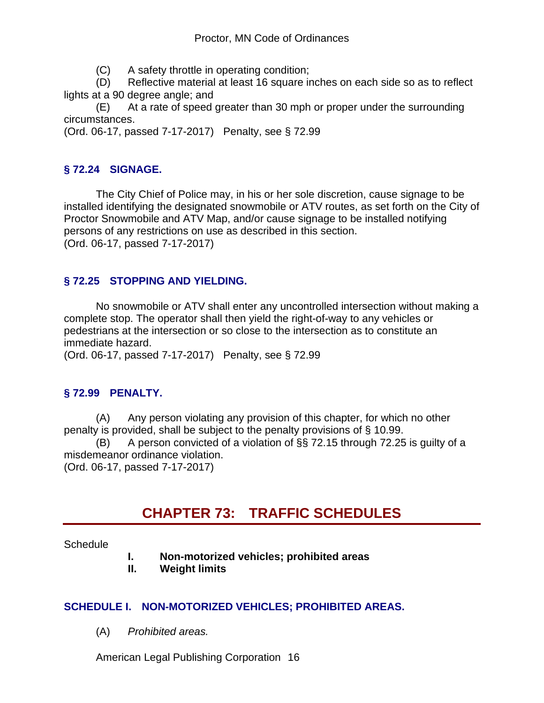(C) A safety throttle in operating condition;

(D) Reflective material at least 16 square inches on each side so as to reflect lights at a 90 degree angle; and

(E) At a rate of speed greater than 30 mph or proper under the surrounding circumstances.

(Ord. 06-17, passed 7-17-2017) Penalty, see § 72.99

# **§ 72.24 SIGNAGE.**

The City Chief of Police may, in his or her sole discretion, cause signage to be installed identifying the designated snowmobile or ATV routes, as set forth on the City of Proctor Snowmobile and ATV Map, and/or cause signage to be installed notifying persons of any restrictions on use as described in this section. (Ord. 06-17, passed 7-17-2017)

# **§ 72.25 STOPPING AND YIELDING.**

No snowmobile or ATV shall enter any uncontrolled intersection without making a complete stop. The operator shall then yield the right-of-way to any vehicles or pedestrians at the intersection or so close to the intersection as to constitute an immediate hazard.

(Ord. 06-17, passed 7-17-2017) Penalty, see § 72.99

# **§ 72.99 PENALTY.**

(A) Any person violating any provision of this chapter, for which no other penalty is provided, shall be subject to the penalty provisions of § 10.99.

(B) A person convicted of a violation of §§ 72.15 through 72.25 is guilty of a misdemeanor ordinance violation.

(Ord. 06-17, passed 7-17-2017)

# **CHAPTER 73: TRAFFIC SCHEDULES**

### **Schedule**

- **I. Non-motorized vehicles; prohibited areas**
- **II. Weight limits**

### **SCHEDULE I. NON-MOTORIZED VEHICLES; PROHIBITED AREAS.**

(A) *Prohibited areas.*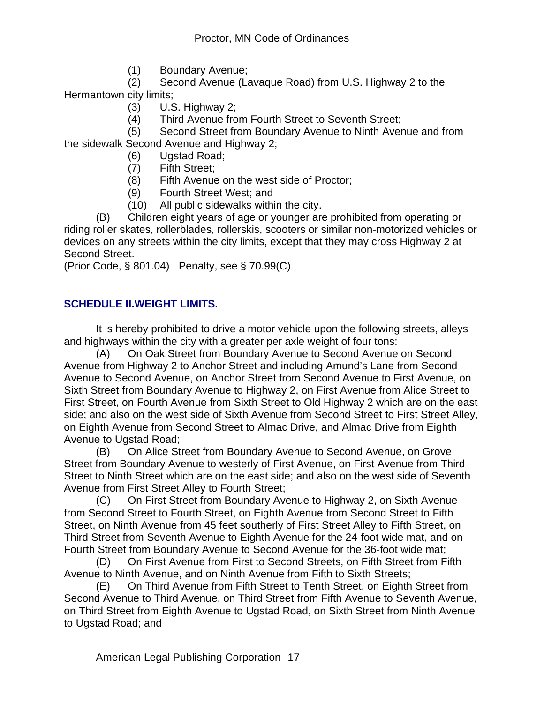(1) Boundary Avenue;

 (2) Second Avenue (Lavaque Road) from U.S. Highway 2 to the Hermantown city limits;

- (3) U.S. Highway 2;
- (4) Third Avenue from Fourth Street to Seventh Street;

 (5) Second Street from Boundary Avenue to Ninth Avenue and from the sidewalk Second Avenue and Highway 2;

- (6) Ugstad Road;
- (7) Fifth Street;
- (8) Fifth Avenue on the west side of Proctor;
- (9) Fourth Street West; and
- (10) All public sidewalks within the city.

(B) Children eight years of age or younger are prohibited from operating or riding roller skates, rollerblades, rollerskis, scooters or similar non-motorized vehicles or devices on any streets within the city limits, except that they may cross Highway 2 at Second Street.

(Prior Code, § 801.04) Penalty, see § 70.99(C)

### **SCHEDULE II.WEIGHT LIMITS.**

It is hereby prohibited to drive a motor vehicle upon the following streets, alleys and highways within the city with a greater per axle weight of four tons:

(A) On Oak Street from Boundary Avenue to Second Avenue on Second Avenue from Highway 2 to Anchor Street and including Amund's Lane from Second Avenue to Second Avenue, on Anchor Street from Second Avenue to First Avenue, on Sixth Street from Boundary Avenue to Highway 2, on First Avenue from Alice Street to First Street, on Fourth Avenue from Sixth Street to Old Highway 2 which are on the east side; and also on the west side of Sixth Avenue from Second Street to First Street Alley, on Eighth Avenue from Second Street to Almac Drive, and Almac Drive from Eighth Avenue to Ugstad Road;

(B) On Alice Street from Boundary Avenue to Second Avenue, on Grove Street from Boundary Avenue to westerly of First Avenue, on First Avenue from Third Street to Ninth Street which are on the east side; and also on the west side of Seventh Avenue from First Street Alley to Fourth Street;

(C) On First Street from Boundary Avenue to Highway 2, on Sixth Avenue from Second Street to Fourth Street, on Eighth Avenue from Second Street to Fifth Street, on Ninth Avenue from 45 feet southerly of First Street Alley to Fifth Street, on Third Street from Seventh Avenue to Eighth Avenue for the 24-foot wide mat, and on Fourth Street from Boundary Avenue to Second Avenue for the 36-foot wide mat;

(D) On First Avenue from First to Second Streets, on Fifth Street from Fifth Avenue to Ninth Avenue, and on Ninth Avenue from Fifth to Sixth Streets;

(E) On Third Avenue from Fifth Street to Tenth Street, on Eighth Street from Second Avenue to Third Avenue, on Third Street from Fifth Avenue to Seventh Avenue, on Third Street from Eighth Avenue to Ugstad Road, on Sixth Street from Ninth Avenue to Ugstad Road; and